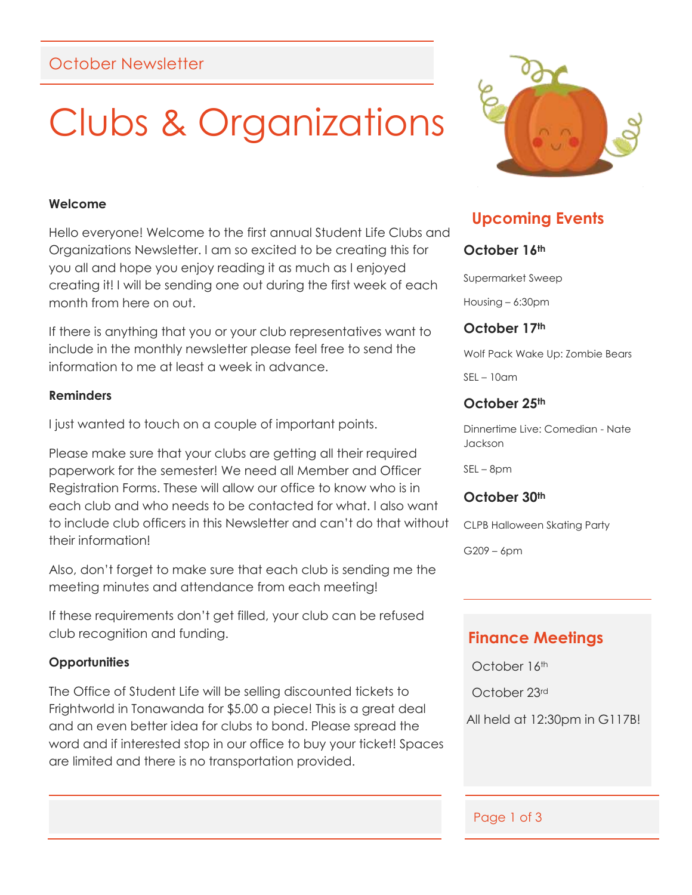## October Newsletter

## Clubs & Organizations

#### **Welcome**

Hello everyone! Welcome to the first annual Student Life Clubs and Organizations Newsletter. I am so excited to be creating this for you all and hope you enjoy reading it as much as I enjoyed creating it! I will be sending one out during the first week of each month from here on out.

If there is anything that you or your club representatives want to include in the monthly newsletter please feel free to send the information to me at least a week in advance.

#### **Reminders**

I just wanted to touch on a couple of important points.

Please make sure that your clubs are getting all their required paperwork for the semester! We need all Member and Officer Registration Forms. These will allow our office to know who is in each club and who needs to be contacted for what. I also want to include club officers in this Newsletter and can't do that without their information!

Also, don't forget to make sure that each club is sending me the meeting minutes and attendance from each meeting!

If these requirements don't get filled, your club can be refused club recognition and funding.

### **Opportunities**

The Office of Student Life will be selling discounted tickets to Frightworld in Tonawanda for \$5.00 a piece! This is a great deal and an even better idea for clubs to bond. Please spread the word and if interested stop in our office to buy your ticket! Spaces are limited and there is no transportation provided.



## **Upcoming Events**

## **October 16th**

Supermarket Sweep

Housing – 6:30pm

## **October 17th**

Wolf Pack Wake Up: Zombie Bears

SEL – 10am

## **October 25th**

Dinnertime Live: Comedian - Nate Jackson

SEL – 8pm

### **October 30th**

CLPB Halloween Skating Party

G209 – 6pm

## **Finance Meetings**

October 16th

October 23rd

All held at 12:30pm in G117B!

### Page 1 of 3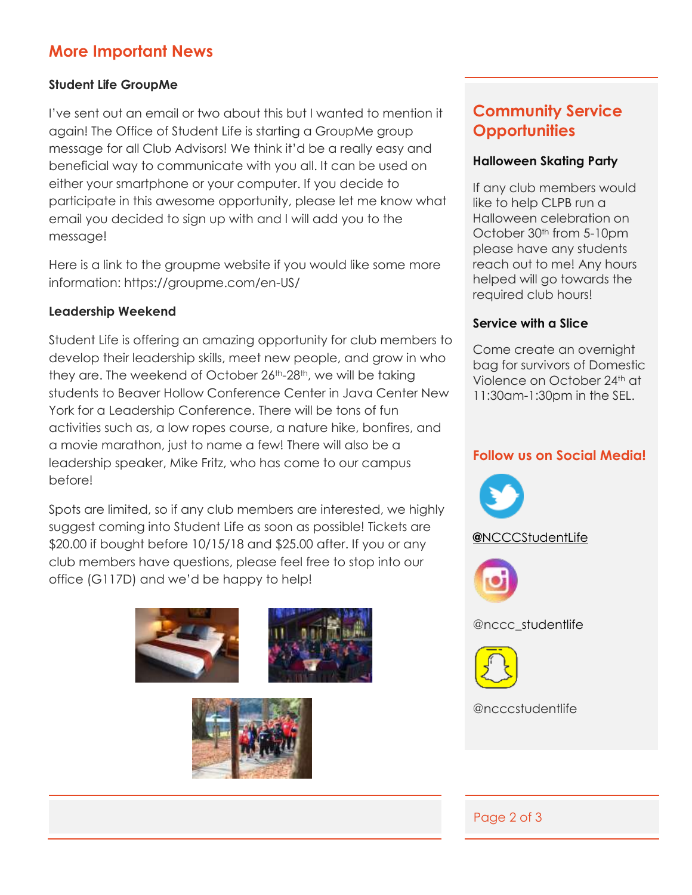## **More Important News**

## **Student Life GroupMe**

I've sent out an email or two about this but I wanted to mention it again! The Office of Student Life is starting a GroupMe group message for all Club Advisors! We think it'd be a really easy and beneficial way to communicate with you all. It can be used on either your smartphone or your computer. If you decide to participate in this awesome opportunity, please let me know what email you decided to sign up with and I will add you to the message!

Here is a link to the groupme website if you would like some more information: https://groupme.com/en-US/

## **Leadership Weekend**

Student Life is offering an amazing opportunity for club members to develop their leadership skills, meet new people, and grow in who they are. The weekend of October 26<sup>th</sup>-28<sup>th</sup>, we will be taking students to Beaver Hollow Conference Center in Java Center New York for a Leadership Conference. There will be tons of fun activities such as, a low ropes course, a nature hike, bonfires, and a movie marathon, just to name a few! There will also be a leadership speaker, Mike Fritz, who has come to our campus before!

Spots are limited, so if any club members are interested, we highly suggest coming into Student Life as soon as possible! Tickets are \$20.00 if bought before 10/15/18 and \$25.00 after. If you or any club members have questions, please feel free to stop into our office (G117D) and we'd be happy to help!





## **Community Service Opportunities**

## **Halloween Skating Party**

If any club members would like to help CLPB run a Halloween celebration on October 30<sup>th</sup> from 5-10pm please have any students reach out to me! Any hours helped will go towards the required club hours!

## **Service with a Slice**

Come create an overnight bag for survivors of Domestic Violence on October 24th at 11:30am-1:30pm in the SEL.

## **Follow us on Social Media!**



## **@**[NCCCStudentLife](https://twitter.com/NCCCStudentLife)



@nccc\_studentlife



@ncccstudentlife

## Page 2 of 3